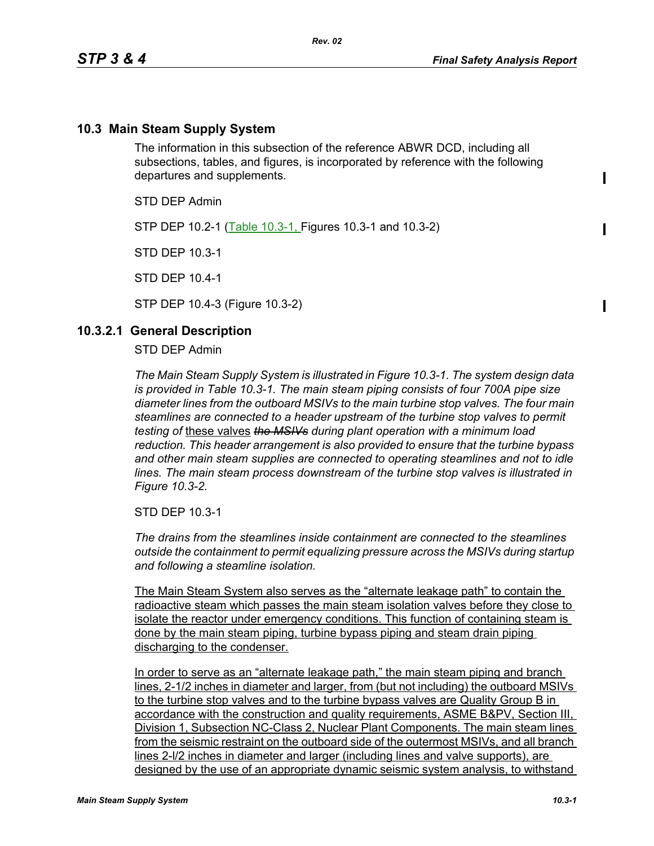### **10.3 Main Steam Supply System**

The information in this subsection of the reference ABWR DCD, including all subsections, tables, and figures, is incorporated by reference with the following departures and supplements.

STD DEP Admin

STP DEP 10.2-1 (Table 10.3-1, Figures 10.3-1 and 10.3-2)

STD DEP 10.3-1

STD DEP 10.4-1

STP DEP 10.4-3 (Figure 10.3-2)

#### **10.3.2.1 General Description**

STD DEP Admin

*The Main Steam Supply System is illustrated in Figure 10.3-1. The system design data is provided in Table 10.3-1. The main steam piping consists of four 700A pipe size diameter lines from the outboard MSIVs to the main turbine stop valves. The four main steamlines are connected to a header upstream of the turbine stop valves to permit testing of* these valves *the MSIVs during plant operation with a minimum load reduction. This header arrangement is also provided to ensure that the turbine bypass and other main steam supplies are connected to operating steamlines and not to idle lines. The main steam process downstream of the turbine stop valves is illustrated in Figure 10.3-2.*

STD DEP 10.3-1

*The drains from the steamlines inside containment are connected to the steamlines outside the containment to permit equalizing pressure across the MSIVs during startup and following a steamline isolation.*

The Main Steam System also serves as the "alternate leakage path" to contain the radioactive steam which passes the main steam isolation valves before they close to isolate the reactor under emergency conditions. This function of containing steam is done by the main steam piping, turbine bypass piping and steam drain piping discharging to the condenser.

In order to serve as an "alternate leakage path," the main steam piping and branch lines, 2-1/2 inches in diameter and larger, from (but not including) the outboard MSIVs to the turbine stop valves and to the turbine bypass valves are Quality Group B in accordance with the construction and quality requirements, ASME B&PV, Section III, Division 1, Subsection NC-Class 2, Nuclear Plant Components. The main steam lines from the seismic restraint on the outboard side of the outermost MSIVs, and all branch lines 2-l/2 inches in diameter and larger (including lines and valve supports), are designed by the use of an appropriate dynamic seismic system analysis, to withstand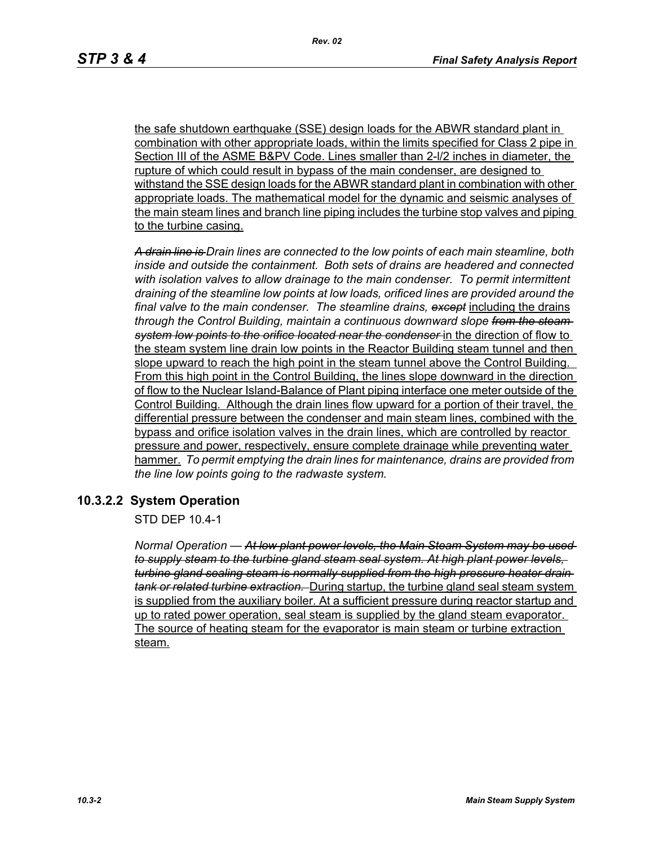the safe shutdown earthquake (SSE) design loads for the ABWR standard plant in combination with other appropriate loads, within the limits specified for Class 2 pipe in Section III of the ASME B&PV Code. Lines smaller than 2-l/2 inches in diameter, the rupture of which could result in bypass of the main condenser, are designed to withstand the SSE design loads for the ABWR standard plant in combination with other appropriate loads. The mathematical model for the dynamic and seismic analyses of the main steam lines and branch line piping includes the turbine stop valves and piping to the turbine casing.

*A drain line is Drain lines are connected to the low points of each main steamline, both inside and outside the containment. Both sets of drains are headered and connected with isolation valves to allow drainage to the main condenser. To permit intermittent draining of the steamline low points at low loads, orificed lines are provided around the final valve to the main condenser. The steamline drains, except* including the drains *through the Control Building, maintain a continuous downward slope from the steam system low points to the orifice located near the condenser* in the direction of flow to the steam system line drain low points in the Reactor Building steam tunnel and then slope upward to reach the high point in the steam tunnel above the Control Building. From this high point in the Control Building, the lines slope downward in the direction of flow to the Nuclear Island-Balance of Plant piping interface one meter outside of the Control Building. Although the drain lines flow upward for a portion of their travel, the differential pressure between the condenser and main steam lines, combined with the bypass and orifice isolation valves in the drain lines, which are controlled by reactor pressure and power, respectively, ensure complete drainage while preventing water hammer. *To permit emptying the drain lines for maintenance, drains are provided from the line low points going to the radwaste system.*

## **10.3.2.2 System Operation**

STD DEP 10.4-1

*Normal Operation — At low plant power levels, the Main Steam System may be used to supply steam to the turbine gland steam seal system. At high plant power levels, turbine gland sealing steam is normally supplied from the high pressure heater drain tank or related turbine extraction.* During startup, the turbine gland seal steam system is supplied from the auxiliary boiler. At a sufficient pressure during reactor startup and up to rated power operation, seal steam is supplied by the gland steam evaporator. The source of heating steam for the evaporator is main steam or turbine extraction steam.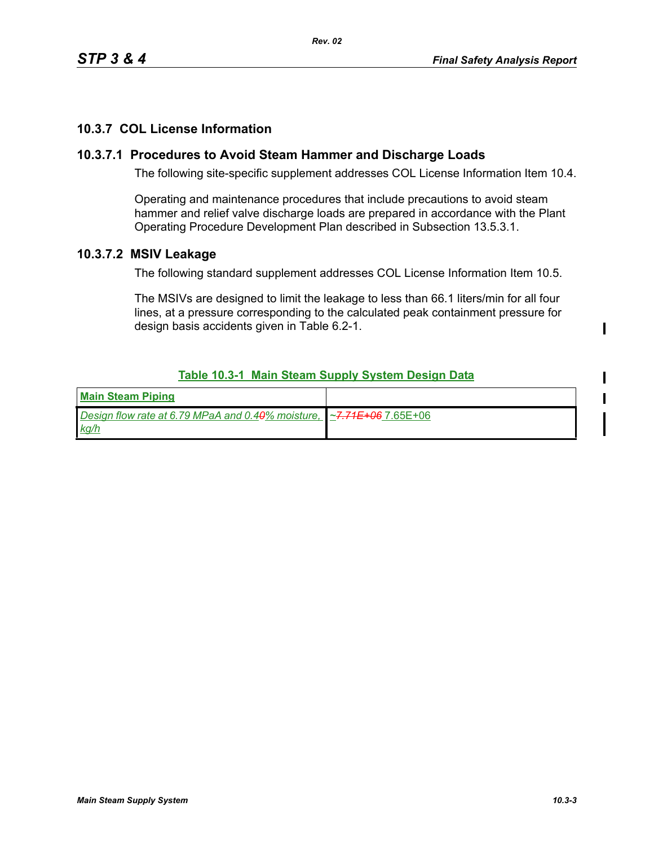# **10.3.7 COL License Information**

### **10.3.7.1 Procedures to Avoid Steam Hammer and Discharge Loads**

The following site-specific supplement addresses COL License Information Item 10.4.

Operating and maintenance procedures that include precautions to avoid steam hammer and relief valve discharge loads are prepared in accordance with the Plant Operating Procedure Development Plan described in Subsection 13.5.3.1.

### **10.3.7.2 MSIV Leakage**

The following standard supplement addresses COL License Information Item 10.5.

The MSIVs are designed to limit the leakage to less than 66.1 liters/min for all four lines, at a pressure corresponding to the calculated peak containment pressure for design basis accidents given in Table 6.2-1.

### **Table 10.3-1 Main Steam Supply System Design Data**

| <b>Main Steam Piping</b>                                                   |  |
|----------------------------------------------------------------------------|--|
| Design flow rate at 6.79 MPaA and 0.40% moisture, $\sim$ 7.71E+06 7.65E+06 |  |
| <u>kg/h</u>                                                                |  |

 $\mathbf I$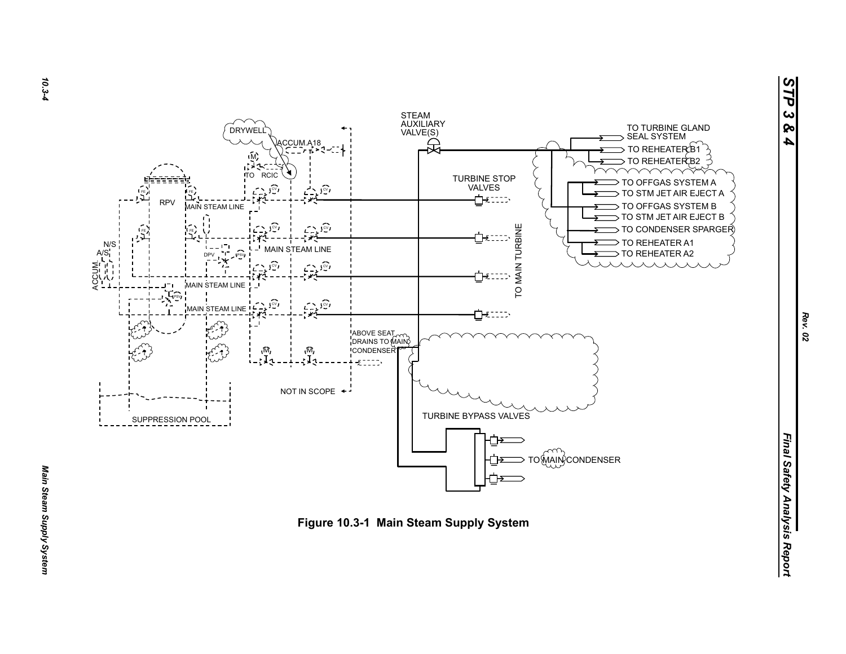



*10.3-4*

*Rev. 02*

*STP 3 & 4*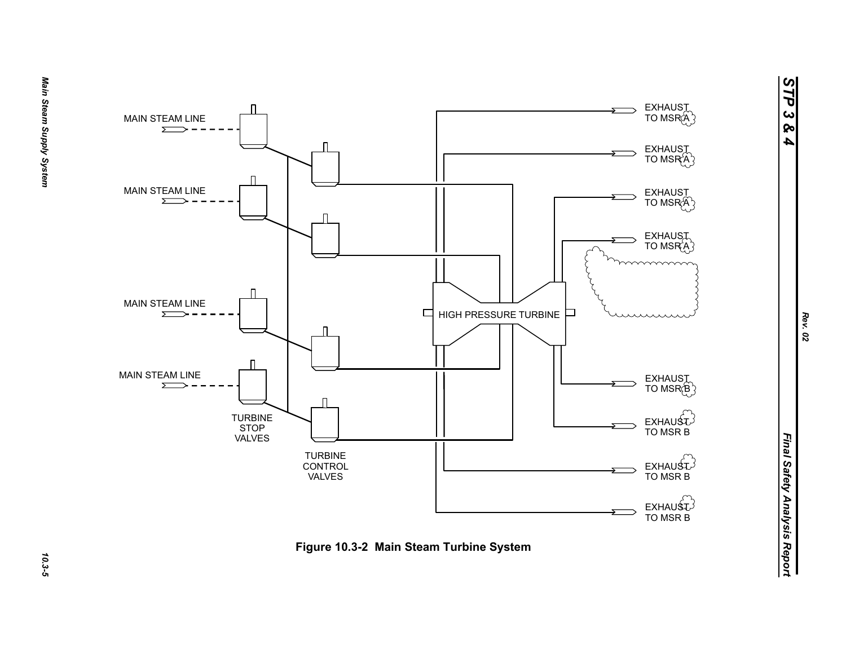

*STP 3 & 4*